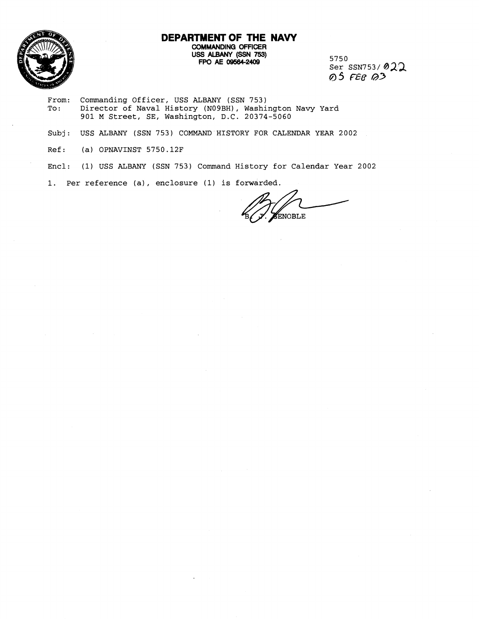

# **DEPARTMENT OF THE NAW COMMANDING OFFICER**  uss ALBANY *(SSN* **753) FPO AE 09584-2409** 5750

Ser SSN753/ **022**  @ **5 658 @3** 

- From: Commanding Officer, USS ALBANY (SSN 753)<br>To: Director of Naval History (N09BH), Washi Director of Naval History (NO9BH), Washington Navy Yard 901 M Street, SE, Washington, D.C. 20374-5060
- Subj: USS ALBANY (SSN 753) COMMAND HISTORY FOR CALENDAR YEAR 2002
- Ref: (a) OPNAVINST 5750.12F
- Encl: (1) USS ALBANY (SSN 753) Command History for Calendar Year 2002
- 1. Per reference (a) , enclosure (1) is forwarded.

.<br>ENOBLE